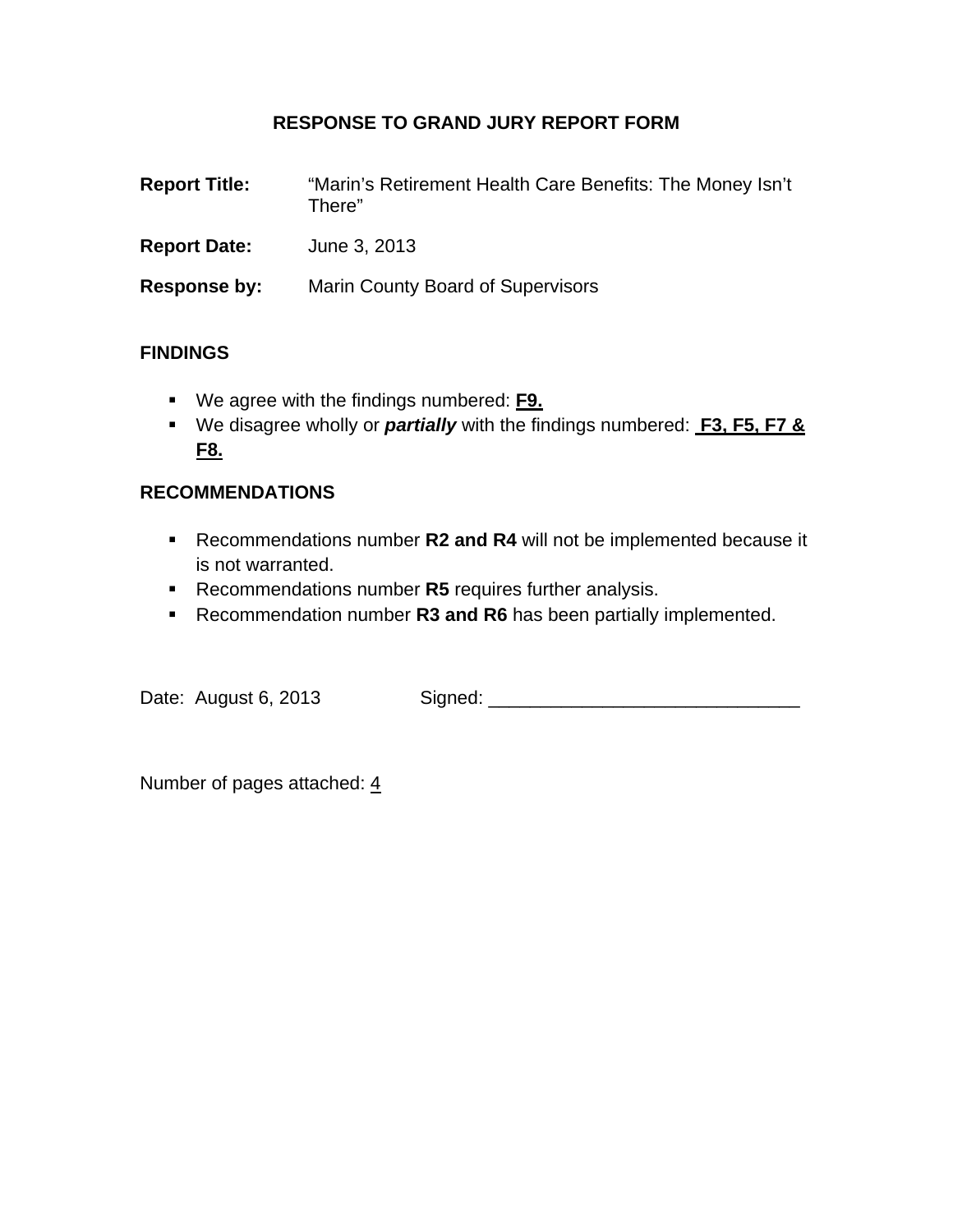### **RESPONSE TO GRAND JURY REPORT FORM**

| <b>Report Title:</b> | "Marin's Retirement Health Care Benefits: The Money Isn't<br>There" |
|----------------------|---------------------------------------------------------------------|
| <b>Report Date:</b>  | June 3, 2013                                                        |
| Response by:         | <b>Marin County Board of Supervisors</b>                            |

### **FINDINGS**

- We agree with the findings numbered: **F9.**
- We disagree wholly or *partially* with the findings numbered: **F3, F5, F7 & F8.**

#### **RECOMMENDATIONS**

- Recommendations number **R2 and R4** will not be implemented because it is not warranted.
- **Recommendations number R5** requires further analysis.
- **Recommendation number R3 and R6** has been partially implemented.

Date: August 6, 2013 Signed: \_\_\_\_\_\_\_\_\_\_\_\_\_\_\_\_\_\_\_\_\_\_\_\_\_\_\_\_\_\_

Number of pages attached: 4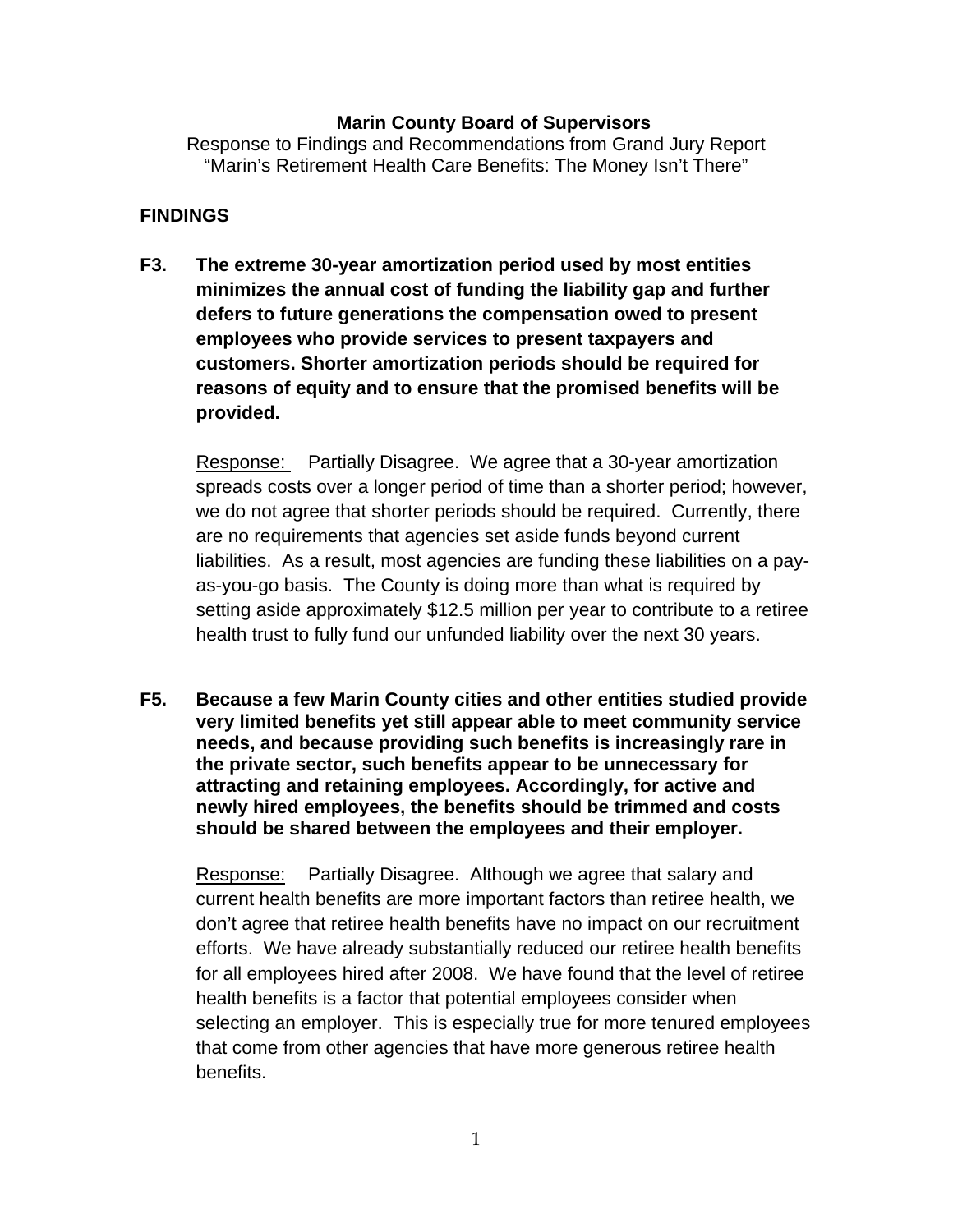#### **Marin County Board of Supervisors**

Response to Findings and Recommendations from Grand Jury Report "Marin's Retirement Health Care Benefits: The Money Isn't There"

#### **FINDINGS**

**F3. The extreme 30-year amortization period used by most entities minimizes the annual cost of funding the liability gap and further defers to future generations the compensation owed to present employees who provide services to present taxpayers and customers. Shorter amortization periods should be required for reasons of equity and to ensure that the promised benefits will be provided.** 

Response: Partially Disagree. We agree that a 30-year amortization spreads costs over a longer period of time than a shorter period; however, we do not agree that shorter periods should be required. Currently, there are no requirements that agencies set aside funds beyond current liabilities. As a result, most agencies are funding these liabilities on a payas-you-go basis. The County is doing more than what is required by setting aside approximately \$12.5 million per year to contribute to a retiree health trust to fully fund our unfunded liability over the next 30 years.

**F5. Because a few Marin County cities and other entities studied provide very limited benefits yet still appear able to meet community service needs, and because providing such benefits is increasingly rare in the private sector, such benefits appear to be unnecessary for attracting and retaining employees. Accordingly, for active and newly hired employees, the benefits should be trimmed and costs should be shared between the employees and their employer.** 

Response: Partially Disagree. Although we agree that salary and current health benefits are more important factors than retiree health, we don't agree that retiree health benefits have no impact on our recruitment efforts. We have already substantially reduced our retiree health benefits for all employees hired after 2008. We have found that the level of retiree health benefits is a factor that potential employees consider when selecting an employer. This is especially true for more tenured employees that come from other agencies that have more generous retiree health benefits.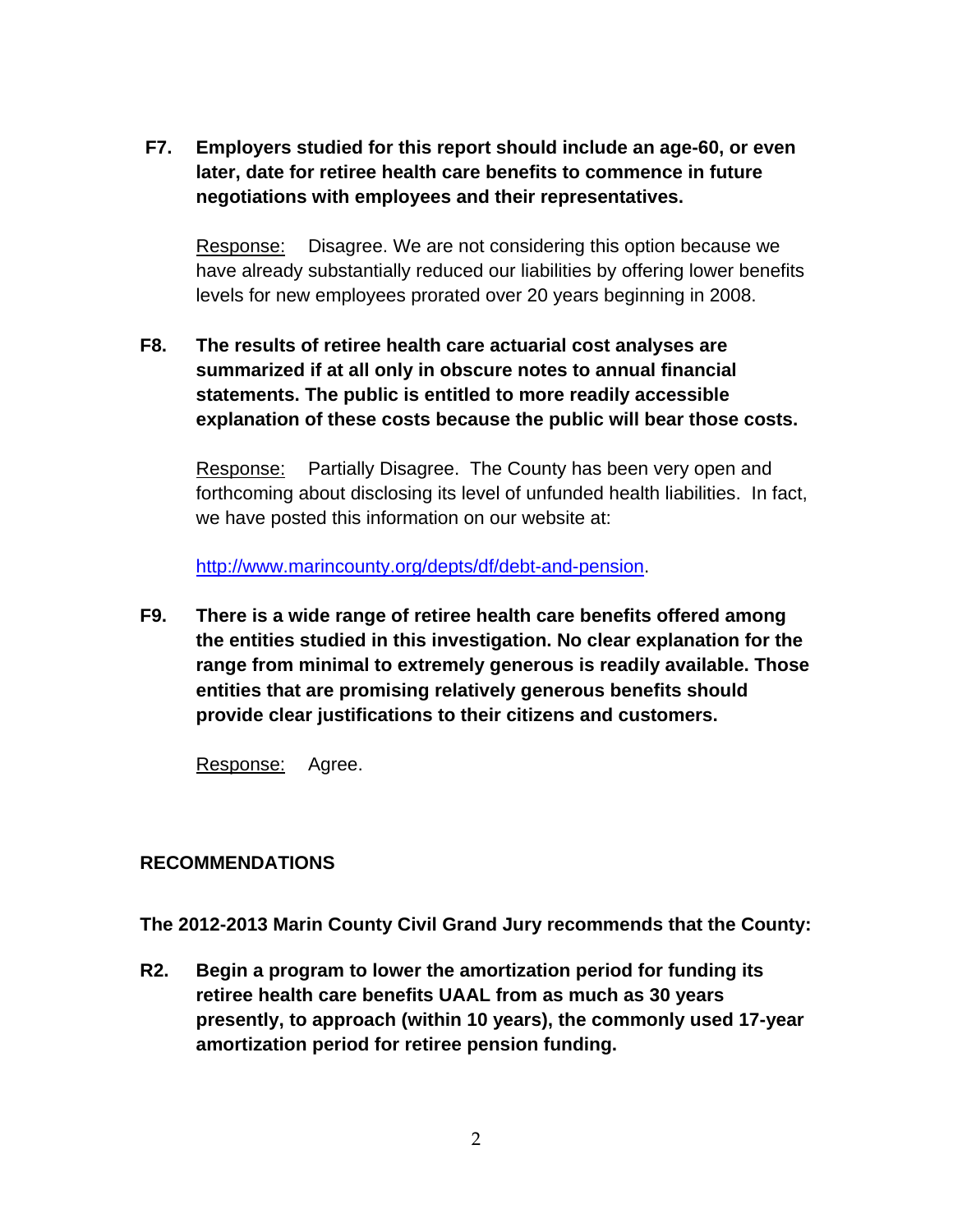**F7. Employers studied for this report should include an age-60, or even later, date for retiree health care benefits to commence in future negotiations with employees and their representatives.**

Response: Disagree. We are not considering this option because we have already substantially reduced our liabilities by offering lower benefits levels for new employees prorated over 20 years beginning in 2008.

**F8. The results of retiree health care actuarial cost analyses are summarized if at all only in obscure notes to annual financial statements. The public is entitled to more readily accessible explanation of these costs because the public will bear those costs.** 

Response: Partially Disagree. The County has been very open and forthcoming about disclosing its level of unfunded health liabilities. In fact, we have posted this information on our website at:

http://www.marincounty.org/depts/df/debt-and-pension.

**F9. There is a wide range of retiree health care benefits offered among the entities studied in this investigation. No clear explanation for the range from minimal to extremely generous is readily available. Those entities that are promising relatively generous benefits should provide clear justifications to their citizens and customers.** 

Response: Agree.

#### **RECOMMENDATIONS**

**The 2012-2013 Marin County Civil Grand Jury recommends that the County:** 

**R2. Begin a program to lower the amortization period for funding its retiree health care benefits UAAL from as much as 30 years presently, to approach (within 10 years), the commonly used 17-year amortization period for retiree pension funding.**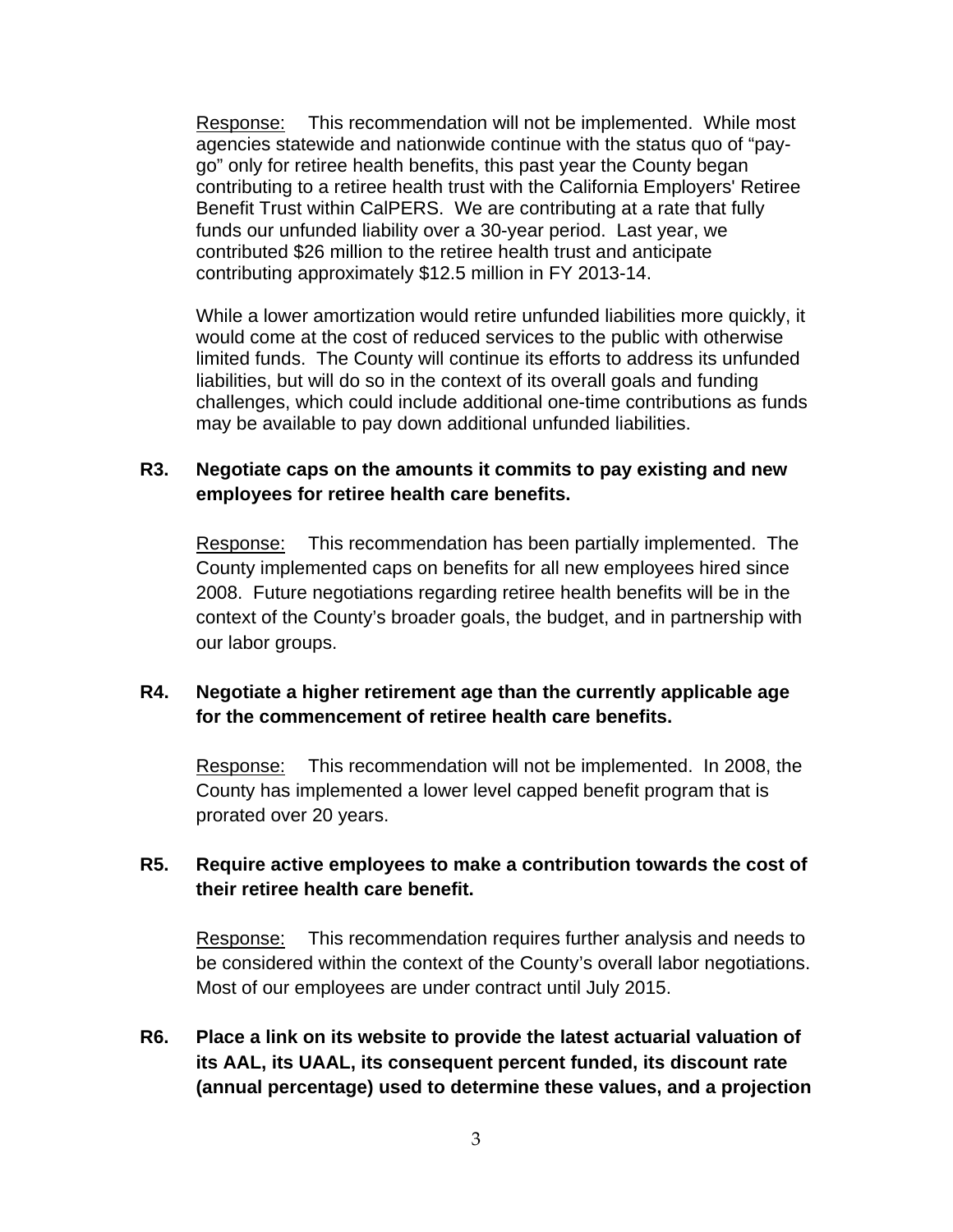Response: This recommendation will not be implemented. While most agencies statewide and nationwide continue with the status quo of "paygo" only for retiree health benefits, this past year the County began contributing to a retiree health trust with the California Employers' Retiree Benefit Trust within CalPERS. We are contributing at a rate that fully funds our unfunded liability over a 30-year period. Last year, we contributed \$26 million to the retiree health trust and anticipate contributing approximately \$12.5 million in FY 2013-14.

While a lower amortization would retire unfunded liabilities more quickly, it would come at the cost of reduced services to the public with otherwise limited funds. The County will continue its efforts to address its unfunded liabilities, but will do so in the context of its overall goals and funding challenges, which could include additional one-time contributions as funds may be available to pay down additional unfunded liabilities.

### **R3. Negotiate caps on the amounts it commits to pay existing and new employees for retiree health care benefits.**

Response: This recommendation has been partially implemented. The County implemented caps on benefits for all new employees hired since 2008. Future negotiations regarding retiree health benefits will be in the context of the County's broader goals, the budget, and in partnership with our labor groups.

### **R4. Negotiate a higher retirement age than the currently applicable age for the commencement of retiree health care benefits.**

Response: This recommendation will not be implemented. In 2008, the County has implemented a lower level capped benefit program that is prorated over 20 years.

### **R5. Require active employees to make a contribution towards the cost of their retiree health care benefit.**

Response: This recommendation requires further analysis and needs to be considered within the context of the County's overall labor negotiations. Most of our employees are under contract until July 2015.

## **R6. Place a link on its website to provide the latest actuarial valuation of its AAL, its UAAL, its consequent percent funded, its discount rate (annual percentage) used to determine these values, and a projection**